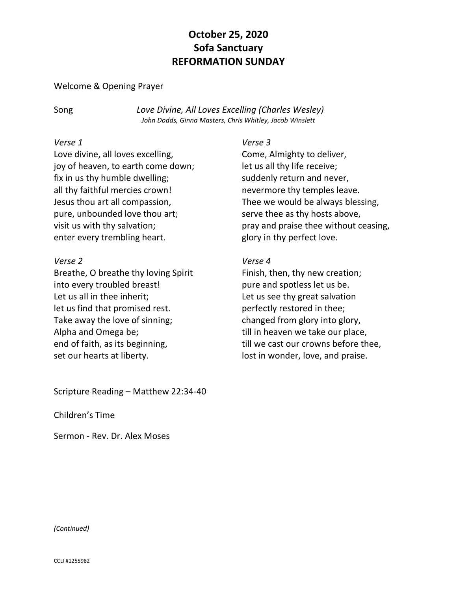# **October 25, 2020 Sofa Sanctuary REFORMATION SUNDAY**

#### Welcome & Opening Prayer

Song *Love Divine, All Loves Excelling (Charles Wesley) John Dodds, Ginna Masters, Chris Whitley, Jacob Winslett*

#### *Verse 1*

Love divine, all loves excelling, joy of heaven, to earth come down; fix in us thy humble dwelling; all thy faithful mercies crown! Jesus thou art all compassion, pure, unbounded love thou art; visit us with thy salvation; enter every trembling heart.

## *Verse 2*

Breathe, O breathe thy loving Spirit into every troubled breast! Let us all in thee inherit; let us find that promised rest. Take away the love of sinning; Alpha and Omega be; end of faith, as its beginning, set our hearts at liberty.

Scripture Reading – Matthew 22:34-40

Children's Time

Sermon - Rev. Dr. Alex Moses

## *Verse 3*

Come, Almighty to deliver, let us all thy life receive; suddenly return and never, nevermore thy temples leave. Thee we would be always blessing, serve thee as thy hosts above, pray and praise thee without ceasing, glory in thy perfect love.

## *Verse 4*

Finish, then, thy new creation; pure and spotless let us be. Let us see thy great salvation perfectly restored in thee; changed from glory into glory, till in heaven we take our place, till we cast our crowns before thee, lost in wonder, love, and praise.

#### *(Continued)*